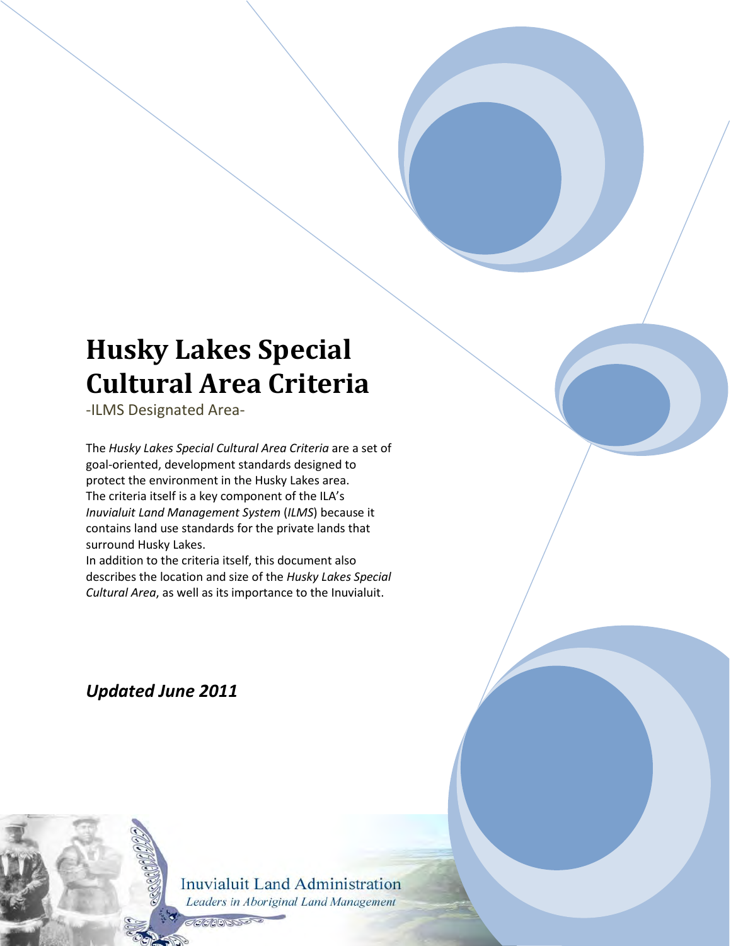# **Husky Lakes Special Cultural Area Criteria**

-ILMS Designated Area-

The *Husky Lakes Special Cultural Area Criteria* are a set of goal-oriented, development standards designed to protect the environment in the Husky Lakes area. The criteria itself is a key component of the ILA's *Inuvialuit Land Management System* (*ILMS*) because it contains land use standards for the private lands that surround Husky Lakes.

In addition to the criteria itself, this document also describes the location and size of the *Husky Lakes Special Cultural Area*, as well as its importance to the Inuvialuit.

*Updated June 2011*

**Inuvialuit Land Administration** Leaders in Aboriginal Land Management

**BEADERS**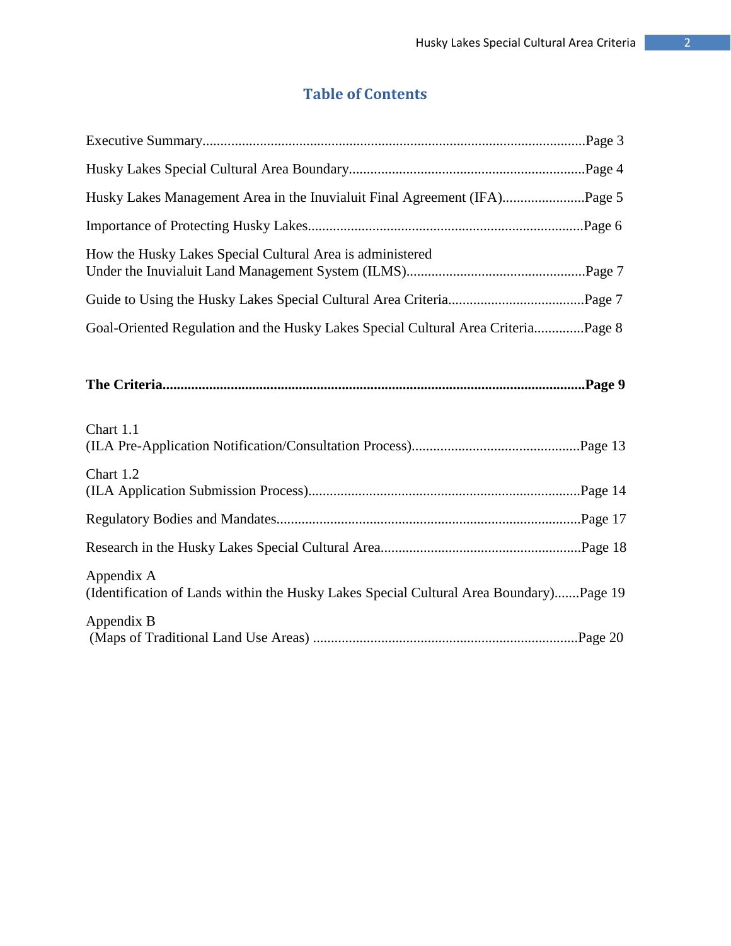# **Table of Contents**

| Husky Lakes Management Area in the Inuvialuit Final Agreement (IFA)Page 5                            |
|------------------------------------------------------------------------------------------------------|
|                                                                                                      |
| How the Husky Lakes Special Cultural Area is administered                                            |
|                                                                                                      |
| Goal-Oriented Regulation and the Husky Lakes Special Cultural Area CriteriaPage 8                    |
| Chart 1.1                                                                                            |
| Chart 1.2                                                                                            |
|                                                                                                      |
|                                                                                                      |
| Appendix A<br>(Identification of Lands within the Husky Lakes Special Cultural Area Boundary)Page 19 |
| Appendix B                                                                                           |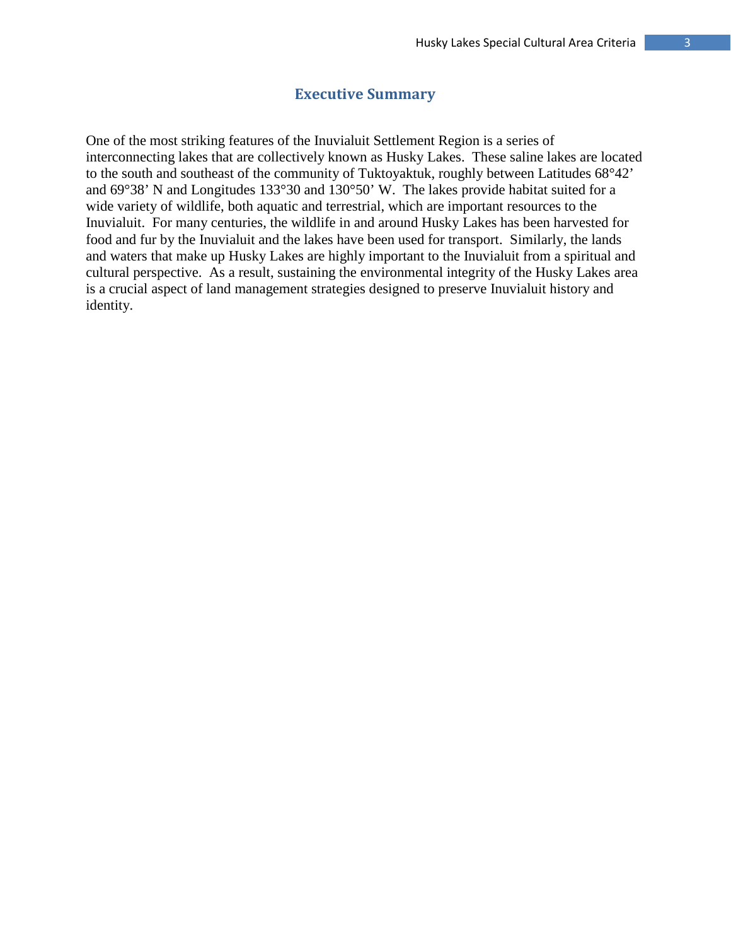#### **Executive Summary**

One of the most striking features of the Inuvialuit Settlement Region is a series of interconnecting lakes that are collectively known as Husky Lakes. These saline lakes are located to the south and southeast of the community of Tuktoyaktuk, roughly between Latitudes 68°42' and 69°38' N and Longitudes 133°30 and 130°50' W. The lakes provide habitat suited for a wide variety of wildlife, both aquatic and terrestrial, which are important resources to the Inuvialuit. For many centuries, the wildlife in and around Husky Lakes has been harvested for food and fur by the Inuvialuit and the lakes have been used for transport. Similarly, the lands and waters that make up Husky Lakes are highly important to the Inuvialuit from a spiritual and cultural perspective. As a result, sustaining the environmental integrity of the Husky Lakes area is a crucial aspect of land management strategies designed to preserve Inuvialuit history and identity.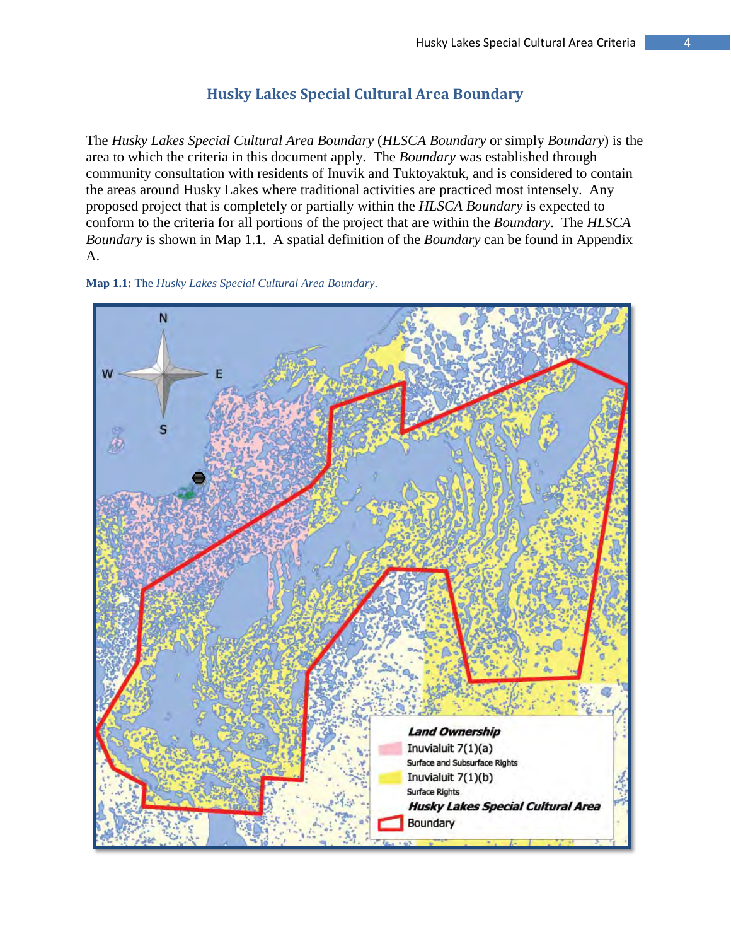# **Husky Lakes Special Cultural Area Boundary**

The *Husky Lakes Special Cultural Area Boundary* (*HLSCA Boundary* or simply *Boundary*) is the area to which the criteria in this document apply. The *Boundary* was established through community consultation with residents of Inuvik and Tuktoyaktuk, and is considered to contain the areas around Husky Lakes where traditional activities are practiced most intensely. Any proposed project that is completely or partially within the *HLSCA Boundary* is expected to conform to the criteria for all portions of the project that are within the *Boundary*. The *HLSCA Boundary* is shown in Map 1.1. A spatial definition of the *Boundary* can be found in Appendix A.



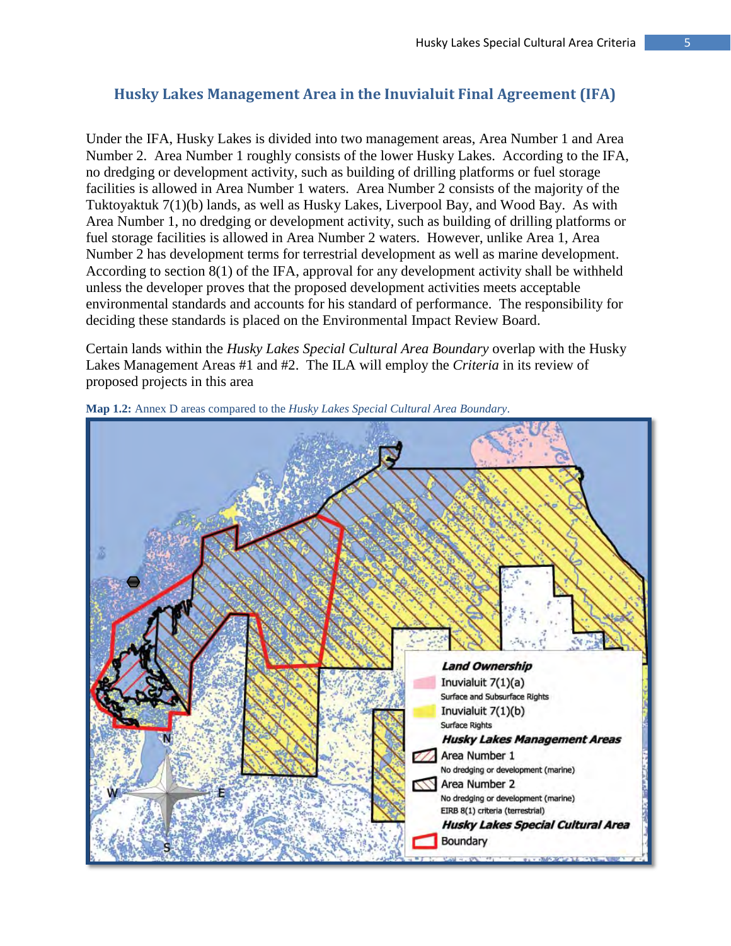# **Husky Lakes Management Area in the Inuvialuit Final Agreement (IFA)**

Under the IFA, Husky Lakes is divided into two management areas, Area Number 1 and Area Number 2. Area Number 1 roughly consists of the lower Husky Lakes. According to the IFA, no dredging or development activity, such as building of drilling platforms or fuel storage facilities is allowed in Area Number 1 waters. Area Number 2 consists of the majority of the Tuktoyaktuk 7(1)(b) lands, as well as Husky Lakes, Liverpool Bay, and Wood Bay. As with Area Number 1, no dredging or development activity, such as building of drilling platforms or fuel storage facilities is allowed in Area Number 2 waters. However, unlike Area 1, Area Number 2 has development terms for terrestrial development as well as marine development. According to section 8(1) of the IFA, approval for any development activity shall be withheld unless the developer proves that the proposed development activities meets acceptable environmental standards and accounts for his standard of performance. The responsibility for deciding these standards is placed on the Environmental Impact Review Board.

Certain lands within the *Husky Lakes Special Cultural Area Boundary* overlap with the Husky Lakes Management Areas #1 and #2. The ILA will employ the *Criteria* in its review of proposed projects in this area



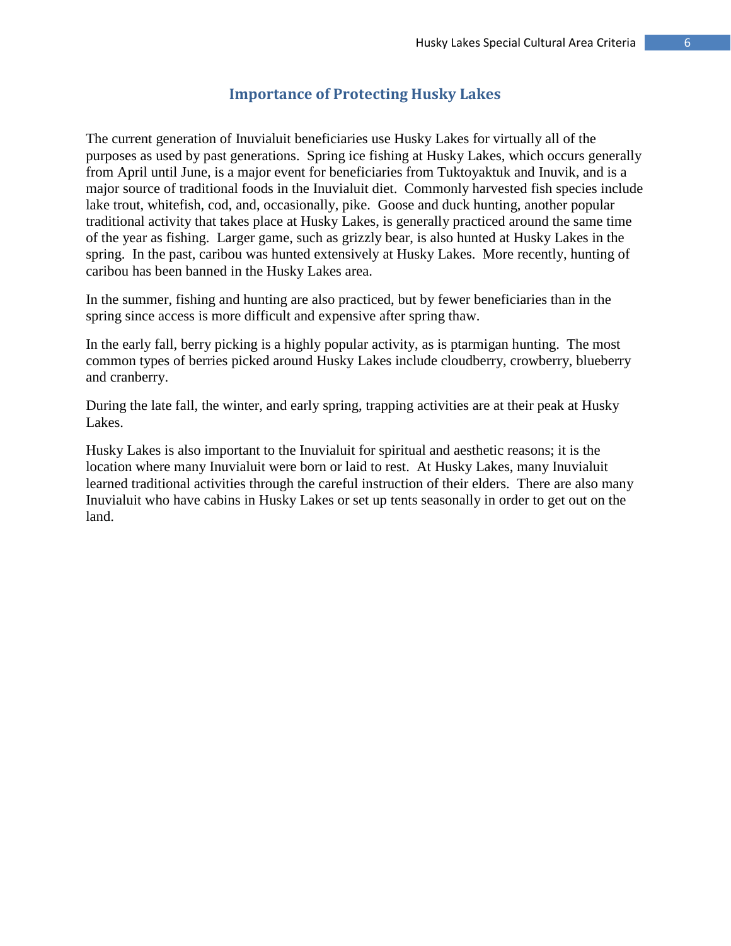### **Importance of Protecting Husky Lakes**

The current generation of Inuvialuit beneficiaries use Husky Lakes for virtually all of the purposes as used by past generations. Spring ice fishing at Husky Lakes, which occurs generally from April until June, is a major event for beneficiaries from Tuktoyaktuk and Inuvik, and is a major source of traditional foods in the Inuvialuit diet. Commonly harvested fish species include lake trout, whitefish, cod, and, occasionally, pike. Goose and duck hunting, another popular traditional activity that takes place at Husky Lakes, is generally practiced around the same time of the year as fishing. Larger game, such as grizzly bear, is also hunted at Husky Lakes in the spring. In the past, caribou was hunted extensively at Husky Lakes. More recently, hunting of caribou has been banned in the Husky Lakes area.

In the summer, fishing and hunting are also practiced, but by fewer beneficiaries than in the spring since access is more difficult and expensive after spring thaw.

In the early fall, berry picking is a highly popular activity, as is ptarmigan hunting. The most common types of berries picked around Husky Lakes include cloudberry, crowberry, blueberry and cranberry.

During the late fall, the winter, and early spring, trapping activities are at their peak at Husky Lakes.

Husky Lakes is also important to the Inuvialuit for spiritual and aesthetic reasons; it is the location where many Inuvialuit were born or laid to rest. At Husky Lakes, many Inuvialuit learned traditional activities through the careful instruction of their elders. There are also many Inuvialuit who have cabins in Husky Lakes or set up tents seasonally in order to get out on the land.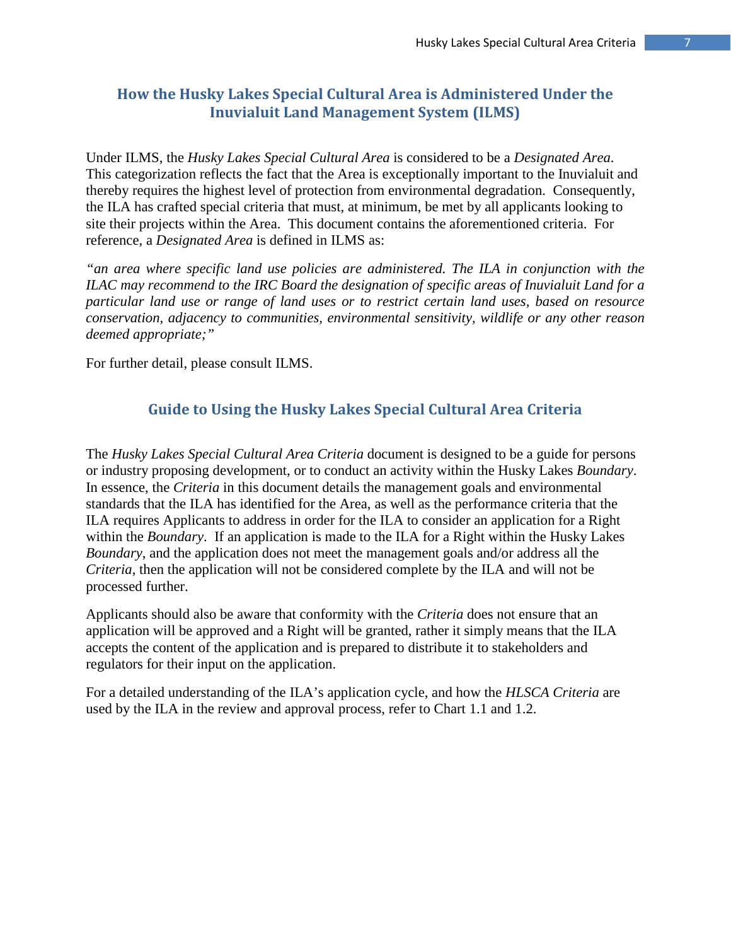# **How the Husky Lakes Special Cultural Area is Administered Under the Inuvialuit Land Management System (ILMS)**

Under ILMS, the *Husky Lakes Special Cultural Area* is considered to be a *Designated Area*. This categorization reflects the fact that the Area is exceptionally important to the Inuvialuit and thereby requires the highest level of protection from environmental degradation. Consequently, the ILA has crafted special criteria that must, at minimum, be met by all applicants looking to site their projects within the Area. This document contains the aforementioned criteria. For reference, a *Designated Area* is defined in ILMS as:

*"an area where specific land use policies are administered. The ILA in conjunction with the ILAC may recommend to the IRC Board the designation of specific areas of Inuvialuit Land for a particular land use or range of land uses or to restrict certain land uses, based on resource conservation, adjacency to communities, environmental sensitivity, wildlife or any other reason deemed appropriate;"* 

For further detail, please consult ILMS.

### **Guide to Using the Husky Lakes Special Cultural Area Criteria**

The *Husky Lakes Special Cultural Area Criteria* document is designed to be a guide for persons or industry proposing development, or to conduct an activity within the Husky Lakes *Boundary*. In essence, the *Criteria* in this document details the management goals and environmental standards that the ILA has identified for the Area, as well as the performance criteria that the ILA requires Applicants to address in order for the ILA to consider an application for a Right within the *Boundary*. If an application is made to the ILA for a Right within the Husky Lakes *Boundary*, and the application does not meet the management goals and/or address all the *Criteria*, then the application will not be considered complete by the ILA and will not be processed further.

Applicants should also be aware that conformity with the *Criteria* does not ensure that an application will be approved and a Right will be granted, rather it simply means that the ILA accepts the content of the application and is prepared to distribute it to stakeholders and regulators for their input on the application.

For a detailed understanding of the ILA's application cycle, and how the *HLSCA Criteria* are used by the ILA in the review and approval process, refer to Chart 1.1 and 1.2.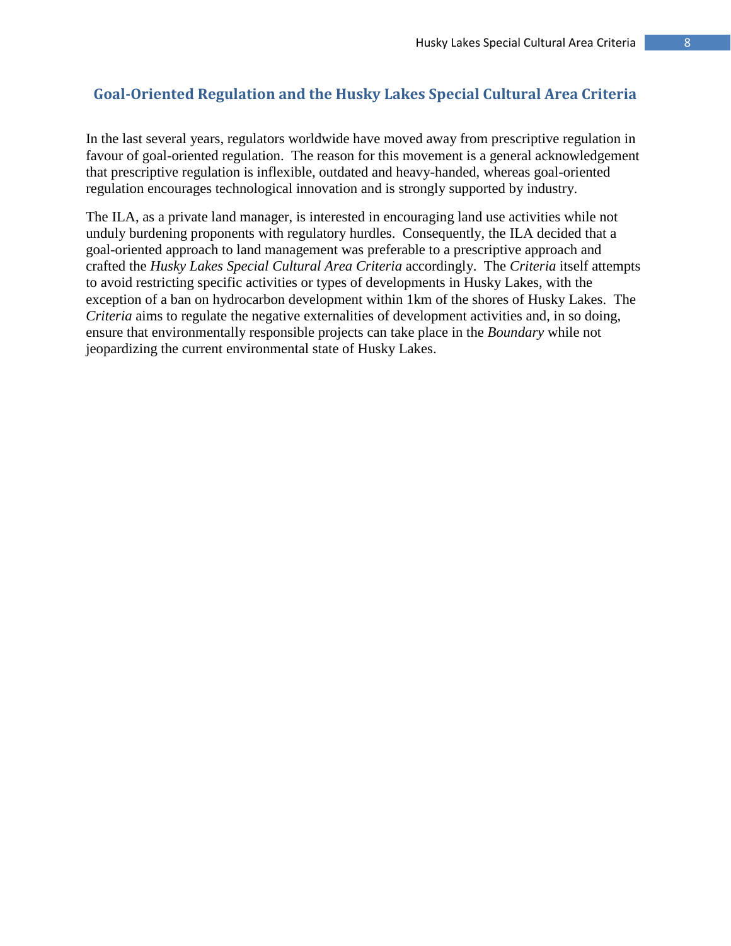# **Goal-Oriented Regulation and the Husky Lakes Special Cultural Area Criteria**

In the last several years, regulators worldwide have moved away from prescriptive regulation in favour of goal-oriented regulation. The reason for this movement is a general acknowledgement that prescriptive regulation is inflexible, outdated and heavy-handed, whereas goal-oriented regulation encourages technological innovation and is strongly supported by industry.

The ILA, as a private land manager, is interested in encouraging land use activities while not unduly burdening proponents with regulatory hurdles. Consequently, the ILA decided that a goal-oriented approach to land management was preferable to a prescriptive approach and crafted the *Husky Lakes Special Cultural Area Criteria* accordingly. The *Criteria* itself attempts to avoid restricting specific activities or types of developments in Husky Lakes, with the exception of a ban on hydrocarbon development within 1km of the shores of Husky Lakes. The *Criteria* aims to regulate the negative externalities of development activities and, in so doing, ensure that environmentally responsible projects can take place in the *Boundary* while not jeopardizing the current environmental state of Husky Lakes.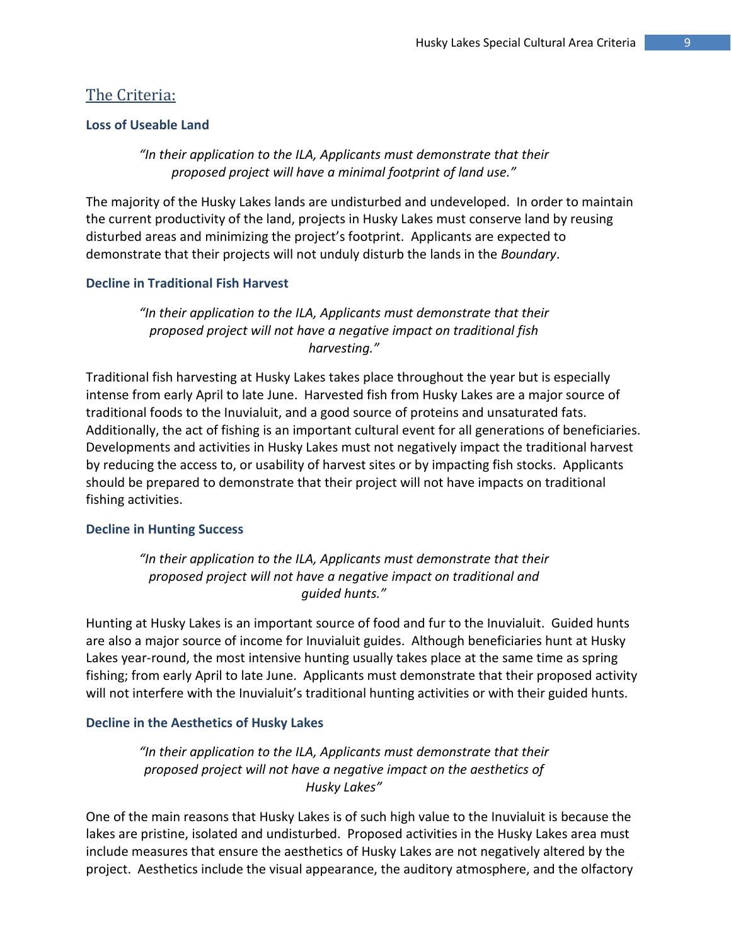### The Criteria:

#### **Loss of Useable Land**

*"In their application to the ILA, Applicants must demonstrate that their proposed project will have a minimal footprint of land use."*

The majority of the Husky Lakes lands are undisturbed and undeveloped. In order to maintain the current productivity of the land, projects in Husky Lakes must conserve land by reusing disturbed areas and minimizing the project's footprint. Applicants are expected to demonstrate that their projects will not unduly disturb the lands in the *Boundary*.

#### **Decline in Traditional Fish Harvest**

*"In their application to the ILA, Applicants must demonstrate that their proposed project will not have a negative impact on traditional fish harvesting."*

Traditional fish harvesting at Husky Lakes takes place throughout the year but is especially intense from early April to late June. Harvested fish from Husky Lakes are a major source of traditional foods to the Inuvialuit, and a good source of proteins and unsaturated fats. Additionally, the act of fishing is an important cultural event for all generations of beneficiaries. Developments and activities in Husky Lakes must not negatively impact the traditional harvest by reducing the access to, or usability of harvest sites or by impacting fish stocks. Applicants should be prepared to demonstrate that their project will not have impacts on traditional fishing activities.

#### **Decline in Hunting Success**

*"In their application to the ILA, Applicants must demonstrate that their proposed project will not have a negative impact on traditional and guided hunts."*

Hunting at Husky Lakes is an important source of food and fur to the Inuvialuit. Guided hunts are also a major source of income for Inuvialuit guides. Although beneficiaries hunt at Husky Lakes year-round, the most intensive hunting usually takes place at the same time as spring fishing; from early April to late June. Applicants must demonstrate that their proposed activity will not interfere with the Inuvialuit's traditional hunting activities or with their guided hunts.

#### **Decline in the Aesthetics of Husky Lakes**

*"In their application to the ILA, Applicants must demonstrate that their proposed project will not have a negative impact on the aesthetics of Husky Lakes"*

One of the main reasons that Husky Lakes is of such high value to the Inuvialuit is because the lakes are pristine, isolated and undisturbed. Proposed activities in the Husky Lakes area must include measures that ensure the aesthetics of Husky Lakes are not negatively altered by the project. Aesthetics include the visual appearance, the auditory atmosphere, and the olfactory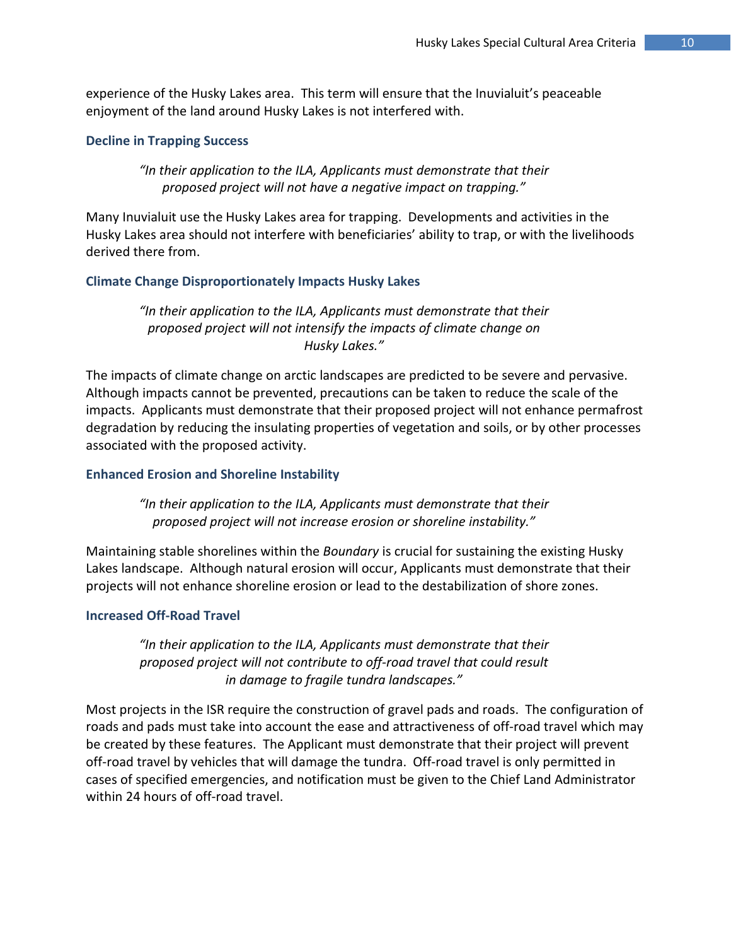experience of the Husky Lakes area. This term will ensure that the Inuvialuit's peaceable enjoyment of the land around Husky Lakes is not interfered with.

#### **Decline in Trapping Success**

*"In their application to the ILA, Applicants must demonstrate that their proposed project will not have a negative impact on trapping."*

Many Inuvialuit use the Husky Lakes area for trapping. Developments and activities in the Husky Lakes area should not interfere with beneficiaries' ability to trap, or with the livelihoods derived there from.

#### **Climate Change Disproportionately Impacts Husky Lakes**

*"In their application to the ILA, Applicants must demonstrate that their proposed project will not intensify the impacts of climate change on Husky Lakes."*

The impacts of climate change on arctic landscapes are predicted to be severe and pervasive. Although impacts cannot be prevented, precautions can be taken to reduce the scale of the impacts. Applicants must demonstrate that their proposed project will not enhance permafrost degradation by reducing the insulating properties of vegetation and soils, or by other processes associated with the proposed activity.

#### **Enhanced Erosion and Shoreline Instability**

*"In their application to the ILA, Applicants must demonstrate that their proposed project will not increase erosion or shoreline instability."*

Maintaining stable shorelines within the *Boundary* is crucial for sustaining the existing Husky Lakes landscape. Although natural erosion will occur, Applicants must demonstrate that their projects will not enhance shoreline erosion or lead to the destabilization of shore zones.

#### **Increased Off-Road Travel**

*"In their application to the ILA, Applicants must demonstrate that their proposed project will not contribute to off-road travel that could result in damage to fragile tundra landscapes."*

Most projects in the ISR require the construction of gravel pads and roads. The configuration of roads and pads must take into account the ease and attractiveness of off-road travel which may be created by these features. The Applicant must demonstrate that their project will prevent off-road travel by vehicles that will damage the tundra. Off-road travel is only permitted in cases of specified emergencies, and notification must be given to the Chief Land Administrator within 24 hours of off-road travel.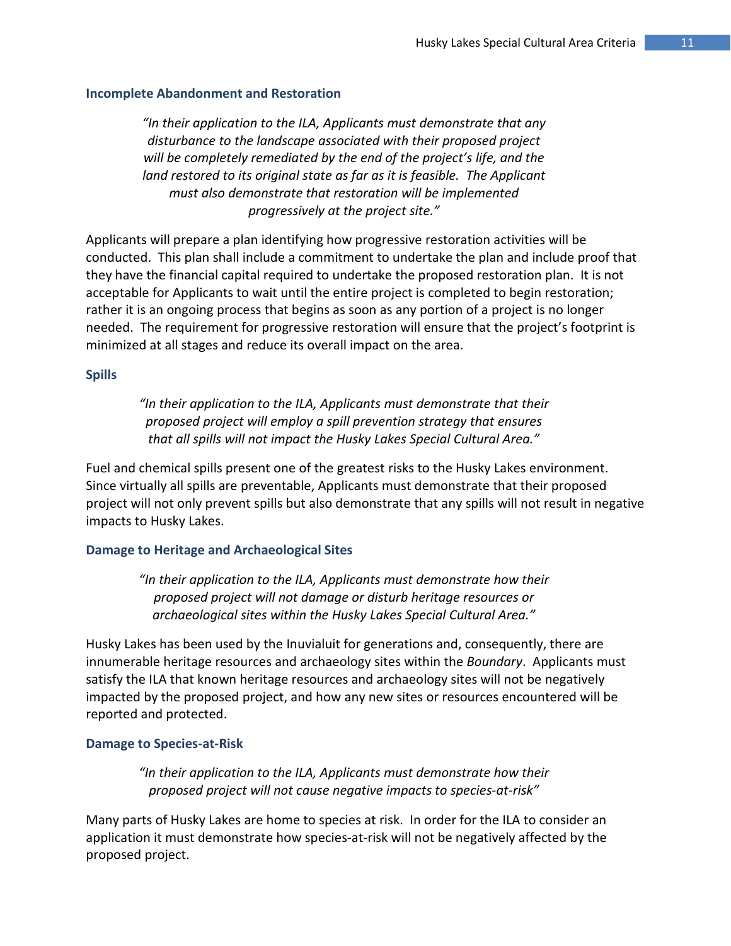#### **Incomplete Abandonment and Restoration**

*"In their application to the ILA, Applicants must demonstrate that any disturbance to the landscape associated with their proposed project will be completely remediated by the end of the project's life, and the land restored to its original state as far as it is feasible. The Applicant must also demonstrate that restoration will be implemented progressively at the project site."*

Applicants will prepare a plan identifying how progressive restoration activities will be conducted. This plan shall include a commitment to undertake the plan and include proof that they have the financial capital required to undertake the proposed restoration plan. It is not acceptable for Applicants to wait until the entire project is completed to begin restoration; rather it is an ongoing process that begins as soon as any portion of a project is no longer needed. The requirement for progressive restoration will ensure that the project's footprint is minimized at all stages and reduce its overall impact on the area.

#### **Spills**

*"In their application to the ILA, Applicants must demonstrate that their proposed project will employ a spill prevention strategy that ensures that all spills will not impact the Husky Lakes Special Cultural Area."*

Fuel and chemical spills present one of the greatest risks to the Husky Lakes environment. Since virtually all spills are preventable, Applicants must demonstrate that their proposed project will not only prevent spills but also demonstrate that any spills will not result in negative impacts to Husky Lakes.

#### **Damage to Heritage and Archaeological Sites**

*"In their application to the ILA, Applicants must demonstrate how their proposed project will not damage or disturb heritage resources or archaeological sites within the Husky Lakes Special Cultural Area."*

Husky Lakes has been used by the Inuvialuit for generations and, consequently, there are innumerable heritage resources and archaeology sites within the *Boundary*. Applicants must satisfy the ILA that known heritage resources and archaeology sites will not be negatively impacted by the proposed project, and how any new sites or resources encountered will be reported and protected.

#### **Damage to Species-at-Risk**

*"In their application to the ILA, Applicants must demonstrate how their proposed project will not cause negative impacts to species-at-risk"*

Many parts of Husky Lakes are home to species at risk. In order for the ILA to consider an application it must demonstrate how species-at-risk will not be negatively affected by the proposed project.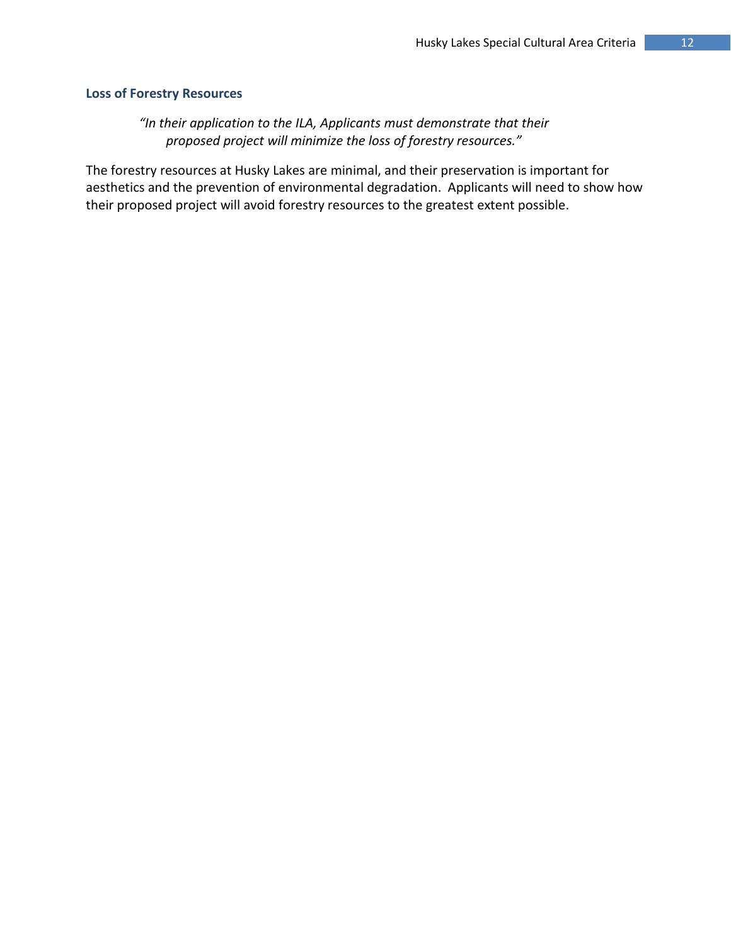#### **Loss of Forestry Resources**

*"In their application to the ILA, Applicants must demonstrate that their proposed project will minimize the loss of forestry resources."*

The forestry resources at Husky Lakes are minimal, and their preservation is important for aesthetics and the prevention of environmental degradation. Applicants will need to show how their proposed project will avoid forestry resources to the greatest extent possible.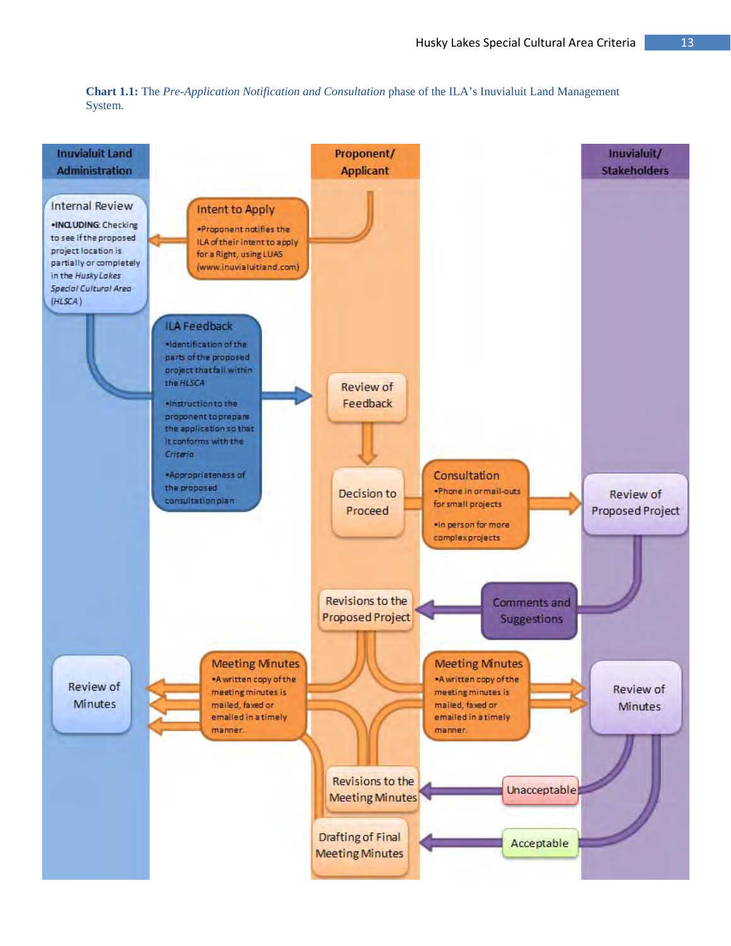

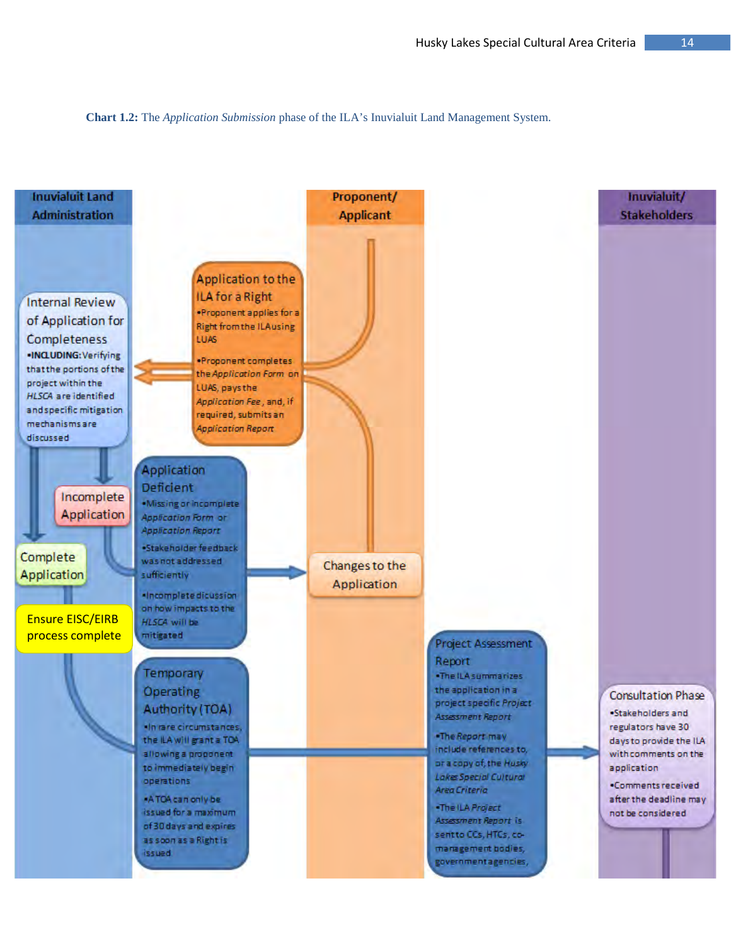**Chart 1.2:** The *Application Submission* phase of the ILA's Inuvialuit Land Management System.

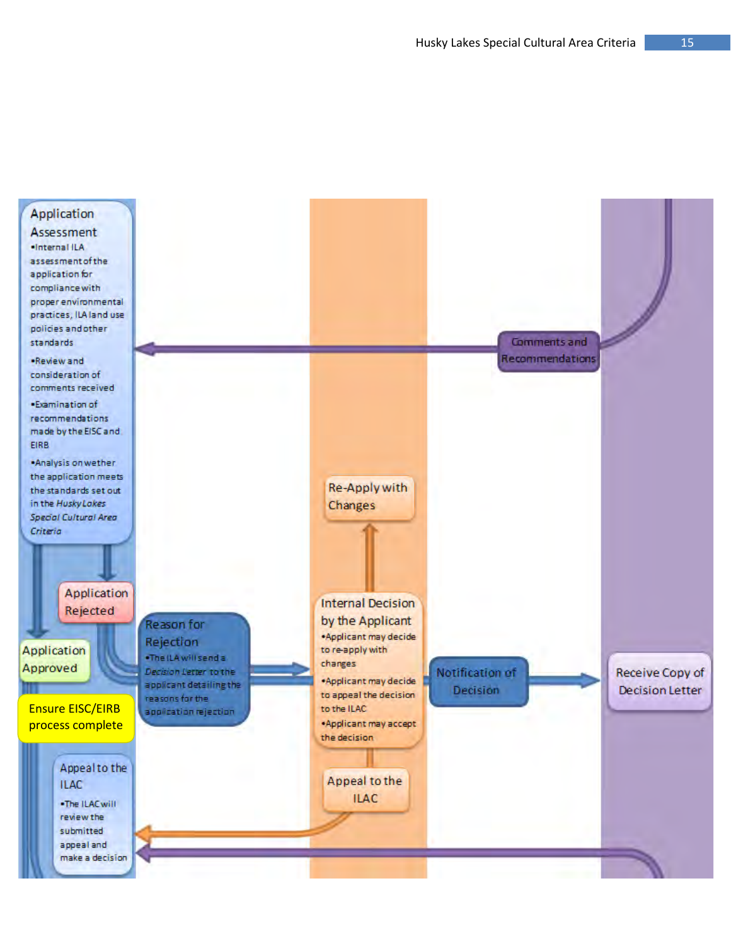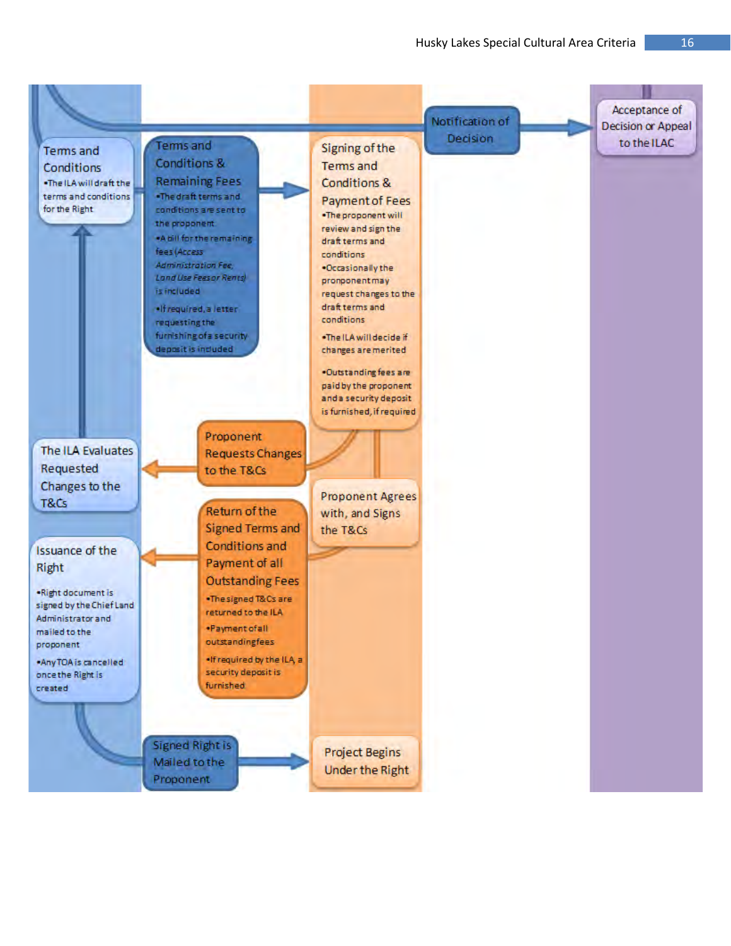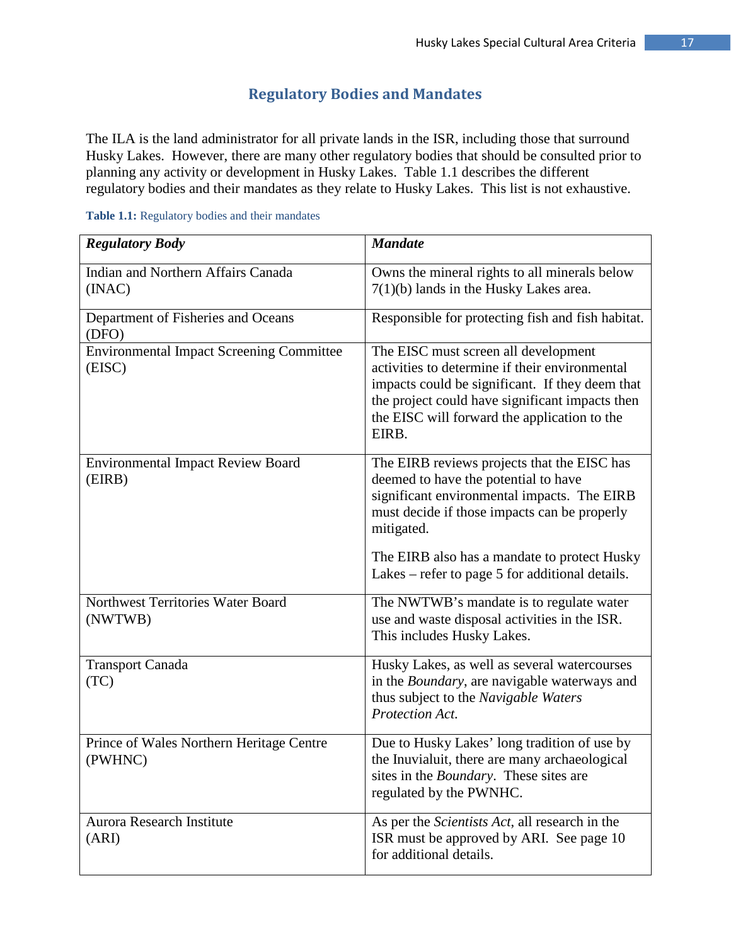# **Regulatory Bodies and Mandates**

The ILA is the land administrator for all private lands in the ISR, including those that surround Husky Lakes. However, there are many other regulatory bodies that should be consulted prior to planning any activity or development in Husky Lakes. Table 1.1 describes the different regulatory bodies and their mandates as they relate to Husky Lakes. This list is not exhaustive.

| <b>Regulatory Body</b>                                    | <b>Mandate</b>                                                                                                                                                                                                                                        |
|-----------------------------------------------------------|-------------------------------------------------------------------------------------------------------------------------------------------------------------------------------------------------------------------------------------------------------|
| <b>Indian and Northern Affairs Canada</b><br>(INAC)       | Owns the mineral rights to all minerals below<br>$7(1)(b)$ lands in the Husky Lakes area.                                                                                                                                                             |
| Department of Fisheries and Oceans<br>(DFO)               | Responsible for protecting fish and fish habitat.                                                                                                                                                                                                     |
| <b>Environmental Impact Screening Committee</b><br>(EISC) | The EISC must screen all development<br>activities to determine if their environmental<br>impacts could be significant. If they deem that<br>the project could have significant impacts then<br>the EISC will forward the application to the<br>EIRB. |
| <b>Environmental Impact Review Board</b><br>(EIRB)        | The EIRB reviews projects that the EISC has<br>deemed to have the potential to have<br>significant environmental impacts. The EIRB<br>must decide if those impacts can be properly<br>mitigated.                                                      |
|                                                           | The EIRB also has a mandate to protect Husky<br>Lakes – refer to page 5 for additional details.                                                                                                                                                       |
| Northwest Territories Water Board<br>(NWTWB)              | The NWTWB's mandate is to regulate water<br>use and waste disposal activities in the ISR.<br>This includes Husky Lakes.                                                                                                                               |
| <b>Transport Canada</b><br>(TC)                           | Husky Lakes, as well as several watercourses<br>in the <i>Boundary</i> , are navigable waterways and<br>thus subject to the Navigable Waters<br>Protection Act.                                                                                       |
| Prince of Wales Northern Heritage Centre<br>(PWHNC)       | Due to Husky Lakes' long tradition of use by<br>the Inuvialuit, there are many archaeological<br>sites in the <i>Boundary</i> . These sites are<br>regulated by the PWNHC.                                                                            |
| <b>Aurora Research Institute</b><br>(ARI)                 | As per the <i>Scientists Act</i> , all research in the<br>ISR must be approved by ARI. See page 10<br>for additional details.                                                                                                                         |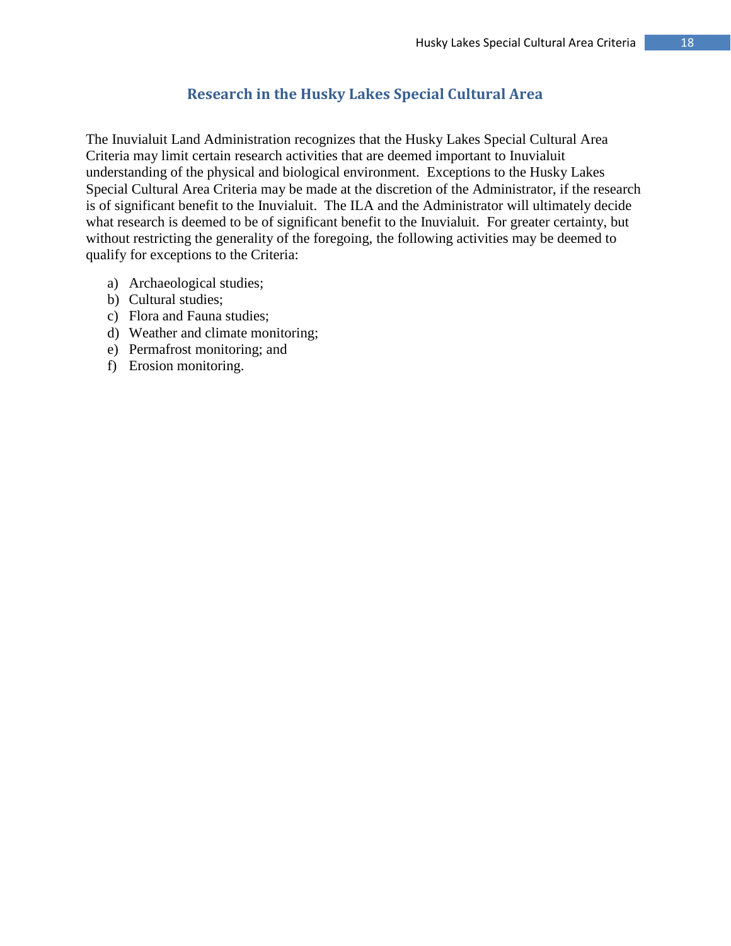# **Research in the Husky Lakes Special Cultural Area**

The Inuvialuit Land Administration recognizes that the Husky Lakes Special Cultural Area Criteria may limit certain research activities that are deemed important to Inuvialuit understanding of the physical and biological environment. Exceptions to the Husky Lakes Special Cultural Area Criteria may be made at the discretion of the Administrator, if the research is of significant benefit to the Inuvialuit. The ILA and the Administrator will ultimately decide what research is deemed to be of significant benefit to the Inuvialuit. For greater certainty, but without restricting the generality of the foregoing, the following activities may be deemed to qualify for exceptions to the Criteria:

- a) Archaeological studies;
- b) Cultural studies;
- c) Flora and Fauna studies;
- d) Weather and climate monitoring;
- e) Permafrost monitoring; and
- f) Erosion monitoring.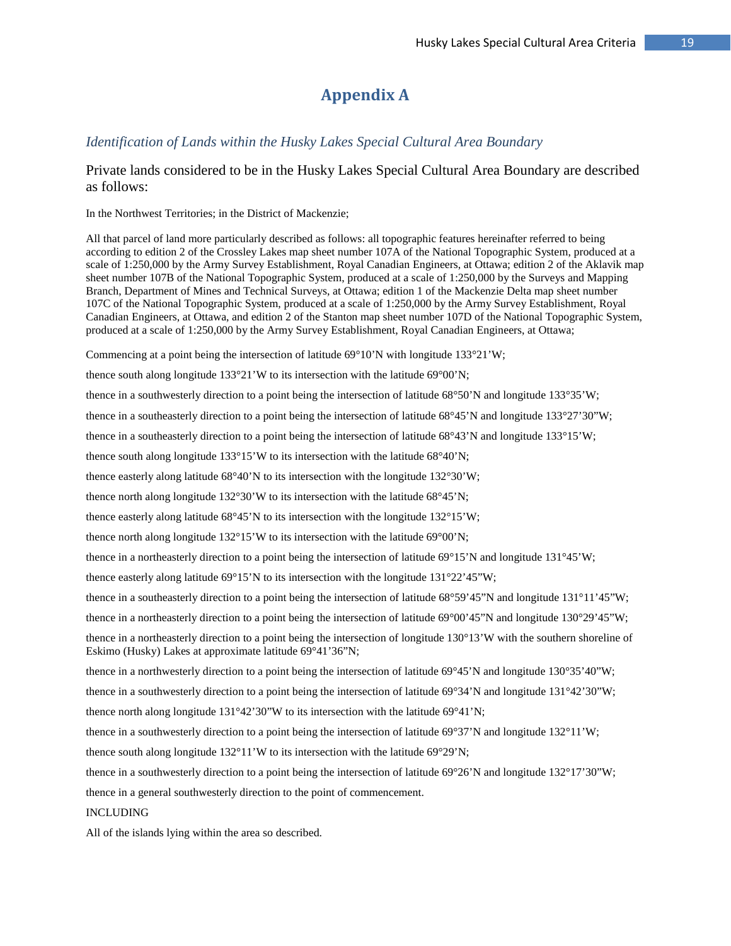# **Appendix A**

#### *Identification of Lands within the Husky Lakes Special Cultural Area Boundary*

#### Private lands considered to be in the Husky Lakes Special Cultural Area Boundary are described as follows:

In the Northwest Territories; in the District of Mackenzie;

All that parcel of land more particularly described as follows: all topographic features hereinafter referred to being according to edition 2 of the Crossley Lakes map sheet number 107A of the National Topographic System, produced at a scale of 1:250,000 by the Army Survey Establishment, Royal Canadian Engineers, at Ottawa; edition 2 of the Aklavik map sheet number 107B of the National Topographic System, produced at a scale of 1:250,000 by the Surveys and Mapping Branch, Department of Mines and Technical Surveys, at Ottawa; edition 1 of the Mackenzie Delta map sheet number 107C of the National Topographic System, produced at a scale of 1:250,000 by the Army Survey Establishment, Royal Canadian Engineers, at Ottawa, and edition 2 of the Stanton map sheet number 107D of the National Topographic System, produced at a scale of 1:250,000 by the Army Survey Establishment, Royal Canadian Engineers, at Ottawa;

Commencing at a point being the intersection of latitude  $69^{\circ}10'N$  with longitude  $133^{\circ}21'W$ ;

thence south along longitude 133°21'W to its intersection with the latitude 69°00'N;

thence in a southwesterly direction to a point being the intersection of latitude 68°50'N and longitude 133°35'W;

thence in a southeasterly direction to a point being the intersection of latitude 68°45'N and longitude 133°27'30"W;

thence in a southeasterly direction to a point being the intersection of latitude 68°43'N and longitude 133°15'W;

thence south along longitude 133°15'W to its intersection with the latitude 68°40'N;

thence easterly along latitude 68°40'N to its intersection with the longitude 132°30'W;

thence north along longitude 132°30'W to its intersection with the latitude 68°45'N;

thence easterly along latitude 68°45'N to its intersection with the longitude 132°15'W;

thence north along longitude 132°15'W to its intersection with the latitude 69°00'N;

thence in a northeasterly direction to a point being the intersection of latitude 69°15'N and longitude 131°45'W;

thence easterly along latitude 69°15'N to its intersection with the longitude 131°22'45"W;

thence in a southeasterly direction to a point being the intersection of latitude 68°59'45"N and longitude 131°11'45"W;

thence in a northeasterly direction to a point being the intersection of latitude 69°00'45"N and longitude 130°29'45"W;

thence in a northeasterly direction to a point being the intersection of longitude 130°13'W with the southern shoreline of Eskimo (Husky) Lakes at approximate latitude 69°41'36"N;

thence in a northwesterly direction to a point being the intersection of latitude  $69^{\circ}45'$ N and longitude  $130^{\circ}35'40''W$ ;

thence in a southwesterly direction to a point being the intersection of latitude  $69^{\circ}34'N$  and longitude  $131^{\circ}42'30''W$ ;

thence north along longitude  $131^{\circ}42'30''W$  to its intersection with the latitude 69°41'N;

thence in a southwesterly direction to a point being the intersection of latitude 69°37'N and longitude 132°11'W;

thence south along longitude  $132^{\circ}11'W$  to its intersection with the latitude 69°29'N;

thence in a southwesterly direction to a point being the intersection of latitude  $69^{\circ}26'N$  and longitude  $132^{\circ}17'30''W$ ;

thence in a general southwesterly direction to the point of commencement.

#### INCLUDING

All of the islands lying within the area so described.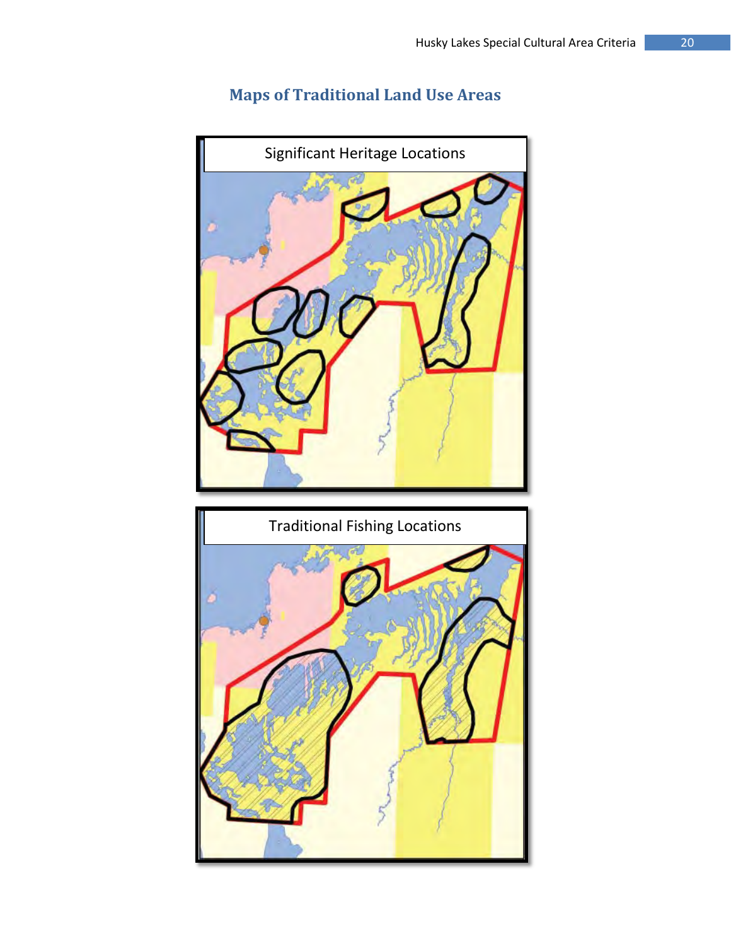# **Maps of Traditional Land Use Areas**



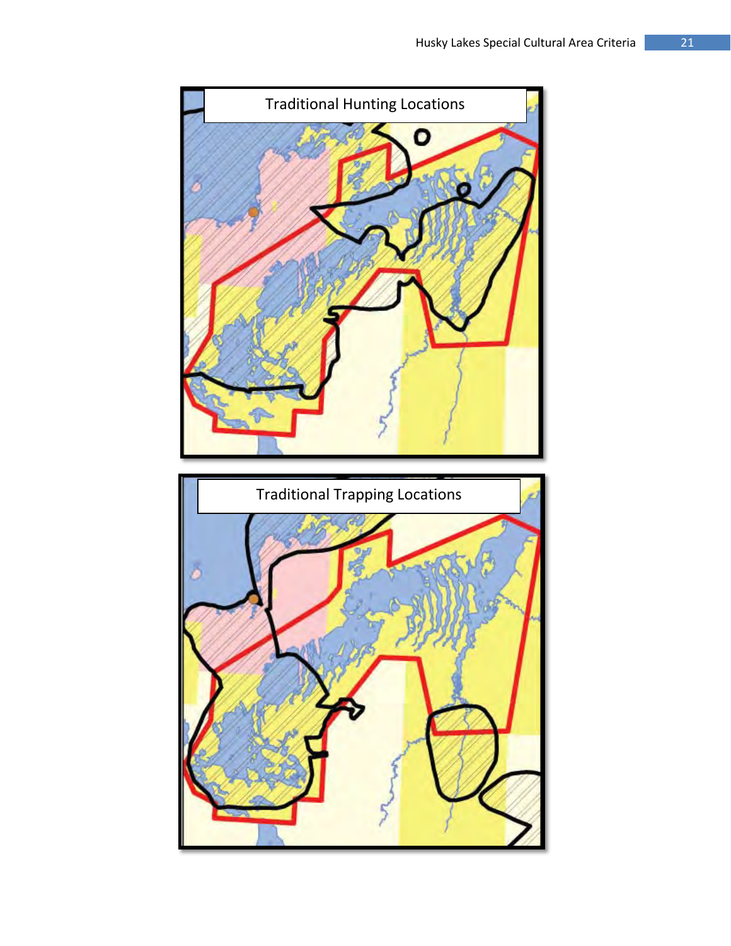